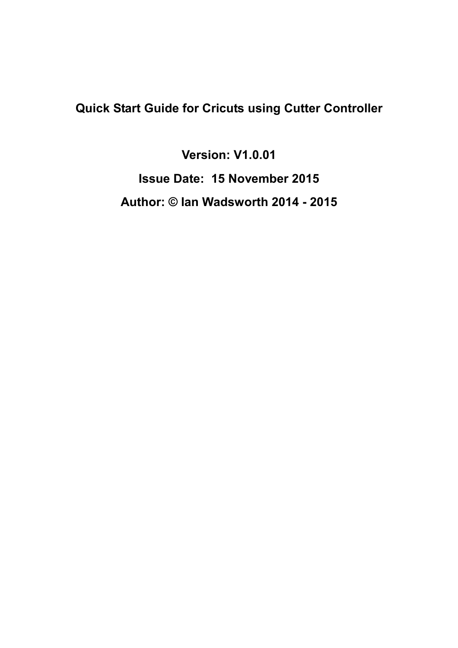# **Quick Start Guide for Cricuts using Cutter Controller**

**Version: V1.0.01 Issue Date: 15 November 2015 Author: © Ian Wadsworth 2014 - 2015**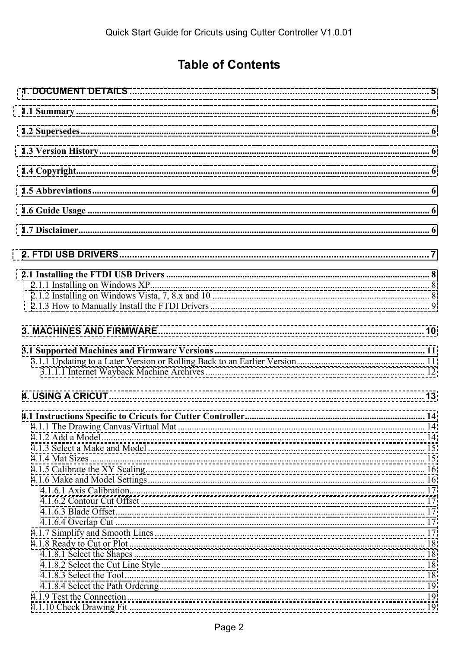# **Table of Contents**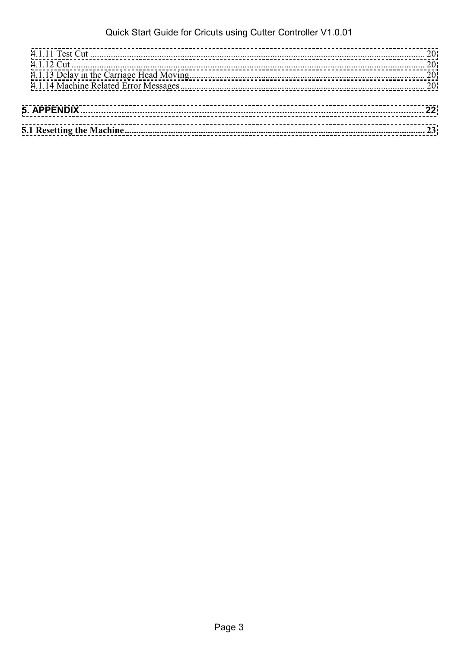### Quick Start Guide for Cricuts using Cutter Controller V1.0.01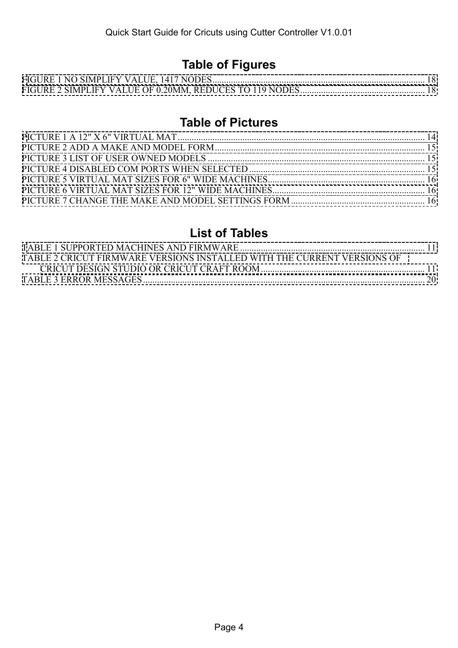# **Table of Figures**

### **Table of Pictures**

### **List of Tables**

| TABLE 2 CRICUT FIRMWARE VERSIONS INSTALLED WITH THE CURRENT VERSIONS OF |  |
|-------------------------------------------------------------------------|--|
|                                                                         |  |
|                                                                         |  |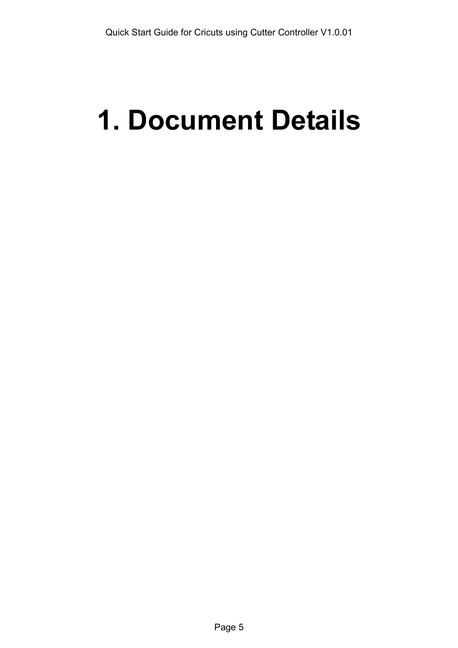# <span id="page-4-0"></span>**1. Document Details**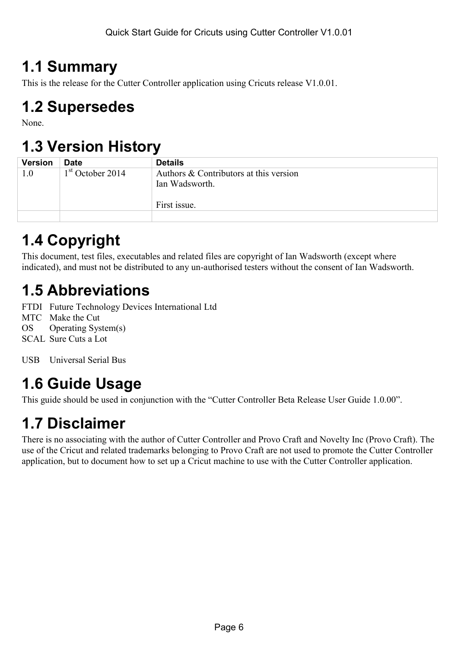# <span id="page-5-0"></span>**1.1 Summary**

This is the release for the Cutter Controller application using Cricuts release V1.0.01.

# **1.2 Supersedes**

None.

# **1.3 Version History**

| <b>Version</b> | <b>Date</b>        | <b>Details</b>                                           |
|----------------|--------------------|----------------------------------------------------------|
| 1.0            | $1st$ October 2014 | Authors & Contributors at this version<br>Ian Wadsworth. |
|                |                    | First issue.                                             |
|                |                    |                                                          |

# **1.4 Copyright**

This document, test files, executables and related files are copyright of Ian Wadsworth (except where indicated), and must not be distributed to any un-authorised testers without the consent of Ian Wadsworth.

# **1.5 Abbreviations**

FTDI Future Technology Devices International Ltd

MTC Make the Cut

OS Operating System(s)

SCAL Sure Cuts a Lot

USB Universal Serial Bus

# **1.6 Guide Usage**

This guide should be used in conjunction with the "Cutter Controller Beta Release User Guide 1.0.00".

# **1.7 Disclaimer**

There is no associating with the author of Cutter Controller and Provo Craft and Novelty Inc (Provo Craft). The use of the Cricut and related trademarks belonging to Provo Craft are not used to promote the Cutter Controller application, but to document how to set up a Cricut machine to use with the Cutter Controller application.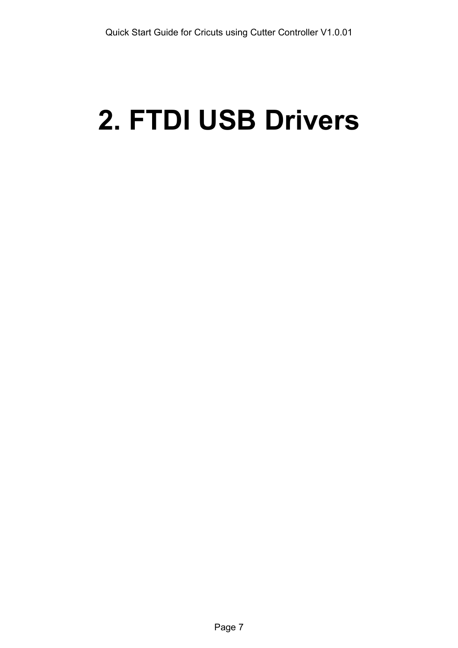# <span id="page-6-0"></span>**2. FTDI USB Drivers**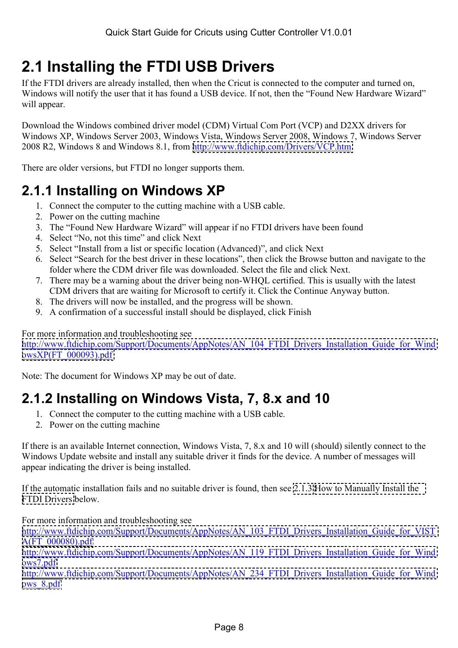# <span id="page-7-0"></span>**2.1 Installing the FTDI USB Drivers**

If the FTDI drivers are already installed, then when the Cricut is connected to the computer and turned on, Windows will notify the user that it has found a USB device. If not, then the "Found New Hardware Wizard" will appear.

Download the Windows combined driver model (CDM) Virtual Com Port (VCP) and D2XX drivers for Windows XP, Windows Server 2003, Windows Vista, Windows Server 2008, Windows 7, Windows Server 2008 R2, Windows 8 and Windows 8.1, from <http://www.ftdichip.com/Drivers/VCP.htm>

There are older versions, but FTDI no longer supports them.

# **2.1.1 Installing on Windows XP**

- 1. Connect the computer to the cutting machine with a USB cable.
- 2. Power on the cutting machine
- 3. The "Found New Hardware Wizard" will appear if no FTDI drivers have been found
- 4. Select "No, not this time" and click Next
- 5. Select "Install from a list or specific location (Advanced)", and click Next
- 6. Select "Search for the best driver in these locations", then click the Browse button and navigate to the folder where the CDM driver file was downloaded. Select the file and click Next.
- 7. There may be a warning about the driver being non-WHQL certified. This is usually with the latest CDM drivers that are waiting for Microsoft to certify it. Click the Continue Anyway button.
- 8. The drivers will now be installed, and the progress will be shown.
- 9. A confirmation of a successful install should be displayed, click Finish

For more information and troubleshooting see

[http://www.ftdichip.com/Support/Documents/AppNotes/AN\\_104\\_FTDI\\_Drivers\\_Installation\\_Guide\\_for\\_Wind](http://www.ftdichip.com/Support/Documents/AppNotes/AN_104_FTDI_Drivers_Installation_Guide_for_WindowsXP(FT_000093).pdf) [owsXP\(FT\\_000093\).pdf](http://www.ftdichip.com/Support/Documents/AppNotes/AN_104_FTDI_Drivers_Installation_Guide_for_WindowsXP(FT_000093).pdf)

Note: The document for Windows XP may be out of date.

# **2.1.2 Installing on Windows Vista, 7, 8.x and 10**

- 1. Connect the computer to the cutting machine with a USB cable.
- 2. Power on the cutting machine

If there is an available Internet connection, Windows Vista, 7, 8.x and 10 will (should) silently connect to the Windows Update website and install any suitable driver it finds for the device. A number of messages will appear indicating the driver is being installed.

If the automatic installation fails and no suitable driver is found, then see [2.1.3 How to Manually Install the](#page-8-0)  [FTDI Drivers](#page-8-0) below.

For more information and troubleshooting see

[http://www.ftdichip.com/Support/Documents/AppNotes/AN\\_103\\_FTDI\\_Drivers\\_Installation\\_Guide\\_for\\_VIST](http://www.ftdichip.com/Support/Documents/AppNotes/AN_103_FTDI_Drivers_Installation_Guide_for_VISTA(FT_000080).pdf) [A\(FT\\_000080\).pdf](http://www.ftdichip.com/Support/Documents/AppNotes/AN_103_FTDI_Drivers_Installation_Guide_for_VISTA(FT_000080).pdf)

[http://www.ftdichip.com/Support/Documents/AppNotes/AN\\_119\\_FTDI\\_Drivers\\_Installation\\_Guide\\_for\\_Wind](http://www.ftdichip.com/Support/Documents/AppNotes/AN_119_FTDI_Drivers_Installation_Guide_for_Windows7.pdf) [ows7.pdf](http://www.ftdichip.com/Support/Documents/AppNotes/AN_119_FTDI_Drivers_Installation_Guide_for_Windows7.pdf)

[http://www.ftdichip.com/Support/Documents/AppNotes/AN\\_234\\_FTDI\\_Drivers\\_Installation\\_Guide\\_for\\_Wind](http://www.ftdichip.com/Support/Documents/AppNotes/AN_234_FTDI_Drivers_Installation_Guide_for_Windows_8.pdf) [ows\\_8.pdf](http://www.ftdichip.com/Support/Documents/AppNotes/AN_234_FTDI_Drivers_Installation_Guide_for_Windows_8.pdf)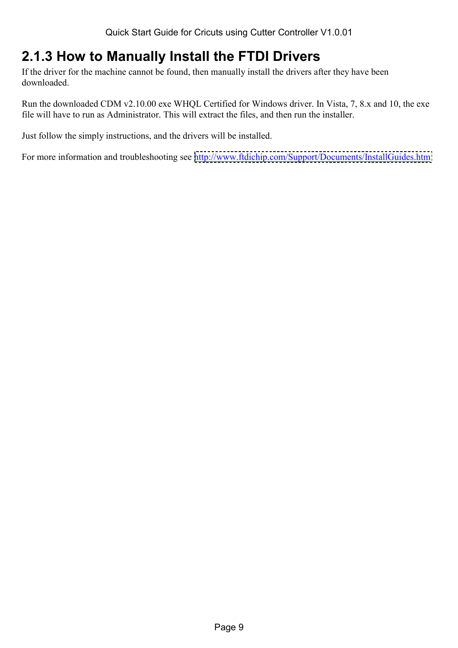# <span id="page-8-0"></span>**2.1.3 How to Manually Install the FTDI Drivers**

If the driver for the machine cannot be found, then manually install the drivers after they have been downloaded.

Run the downloaded CDM v2.10.00 exe WHQL Certified for Windows driver. In Vista, 7, 8.x and 10, the exe file will have to run as Administrator. This will extract the files, and then run the installer.

Just follow the simply instructions, and the drivers will be installed.

For more information and troubleshooting see <http://www.ftdichip.com/Support/Documents/InstallGuides.htm>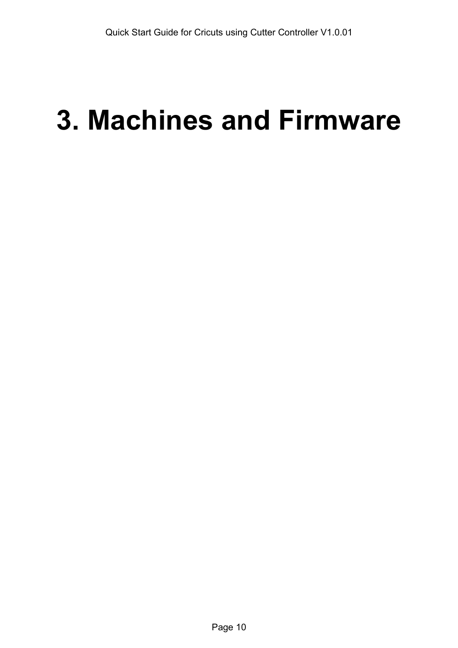# <span id="page-9-0"></span>**3. Machines and Firmware**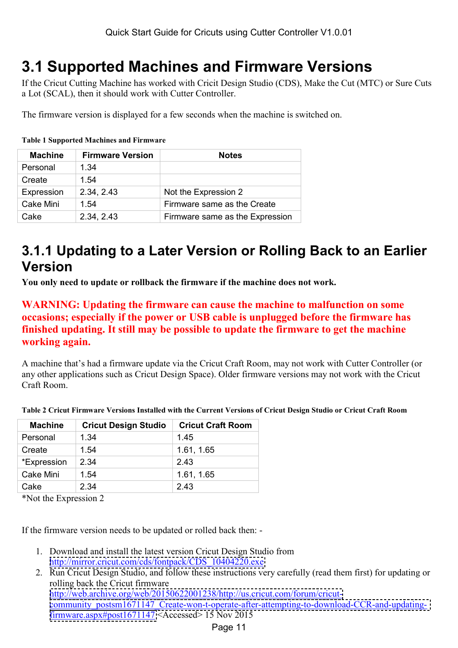# <span id="page-10-0"></span>**3.1 Supported Machines and Firmware Versions**

If the Cricut Cutting Machine has worked with Cricit Design Studio (CDS), Make the Cut (MTC) or Sure Cuts a Lot (SCAL), then it should work with Cutter Controller.

The firmware version is displayed for a few seconds when the machine is switched on.

#### **Table 1 Supported Machines and Firmware**

| <b>Machine</b> | <b>Firmware Version</b> | <b>Notes</b>                    |
|----------------|-------------------------|---------------------------------|
| Personal       | 1.34                    |                                 |
| Create         | 1.54                    |                                 |
| Expression     | 2.34, 2.43              | Not the Expression 2            |
| Cake Mini      | 1.54                    | Firmware same as the Create     |
| Cake           | 2.34, 2.43              | Firmware same as the Expression |

## **3.1.1 Updating to a Later Version or Rolling Back to an Earlier Version**

**You only need to update or rollback the firmware if the machine does not work.** 

#### **WARNING: Updating the firmware can cause the machine to malfunction on some occasions; especially if the power or USB cable is unplugged before the firmware has finished updating. It still may be possible to update the firmware to get the machine working again.**

A machine that's had a firmware update via the Cricut Craft Room, may not work with Cutter Controller (or any other applications such as Cricut Design Space). Older firmware versions may not work with the Cricut Craft Room.

| <b>Machine</b> | <b>Cricut Design Studio</b> | <b>Cricut Craft Room</b> |
|----------------|-----------------------------|--------------------------|
| Personal       | 1.34                        | 1.45                     |
| Create         | 1.54                        | 1.61, 1.65               |
| *Expression    | 2.34                        | 2.43                     |
| Cake Mini      | 1.54                        | 1.61, 1.65               |
| Cake           | 2.34                        | 2.43                     |
| .              |                             |                          |

**Table 2 Cricut Firmware Versions Installed with the Current Versions of Cricut Design Studio or Cricut Craft Room** 

\*Not the Expression 2

If the firmware version needs to be updated or rolled back then: -

- 1. Download and install the latest version Cricut Design Studio from [http://mirror.cricut.com/cds/fontpack/CDS\\_10404220.exe](http://mirror.cricut.com/cds/fontpack/CDS_10404220.exe)
- 2. Run Cricut Design Studio, and follow these instructions very carefully (read them first) for updating or rolling back the Cricut firmware [http://web.archive.org/web/20150622001238/http://us.cricut.com/forum/cricut](http://web.archive.org/web/20150622001238/http://us.cricut.com/forum/cricut-community_postsm1671147_Create-won-t-operate-after-attempting-to-download-CCR-and-updating-firmware.aspx#post1671147)[community\\_postsm1671147\\_Create-won-t-operate-after-attempting-to-download-CCR-and-updating](http://web.archive.org/web/20150622001238/http://us.cricut.com/forum/cricut-community_postsm1671147_Create-won-t-operate-after-attempting-to-download-CCR-and-updating-firmware.aspx#post1671147)[firmware.aspx#post1671147](http://web.archive.org/web/20150622001238/http://us.cricut.com/forum/cricut-community_postsm1671147_Create-won-t-operate-after-attempting-to-download-CCR-and-updating-firmware.aspx#post1671147) <Accessed> 15 Nov 2015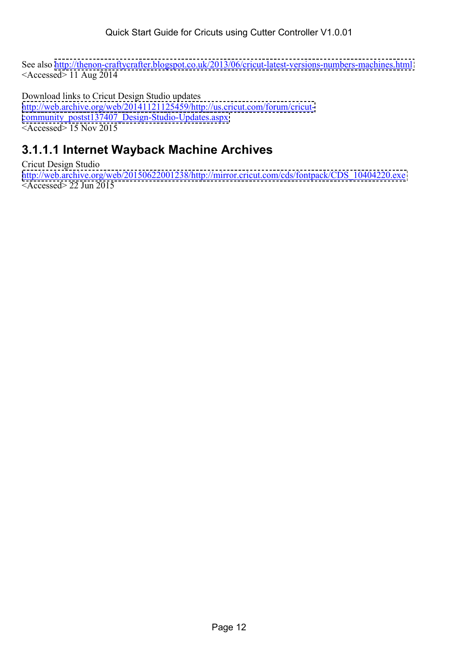<span id="page-11-0"></span>See also <http://thenon-craftycrafter.blogspot.co.uk/2013/06/cricut-latest-versions-numbers-machines.html>  $\leq$ Accessed $>$  11 Aug 2014

Download links to Cricut Design Studio updates [http://web.archive.org/web/20141121125459/http://us.cricut.com/forum/cricut](http://web.archive.org/web/20141121125459/http://us.cricut.com/forum/cricut-community_postst137407_Design-Studio-Updates.aspx)[community\\_postst137407\\_Design-Studio-Updates.aspx](http://web.archive.org/web/20141121125459/http://us.cricut.com/forum/cricut-community_postst137407_Design-Studio-Updates.aspx)  $\leq$ Accessed $\geq$  15 Nov 2015

### **3.1.1.1 Internet Wayback Machine Archives**

Cricut Design Studio [http://web.archive.org/web/20150622001238/http://mirror.cricut.com/cds/fontpack/CDS\\_10404220.exe](http://web.archive.org/web/20150622001238/http://us.cricut.com/forum/cricut-community_postsm1671147_Create-won-t-operate-after-attempting-to-download-CCR-and-updating-firmware.aspx)  $<$ Accessed $>$  22 Jun 2015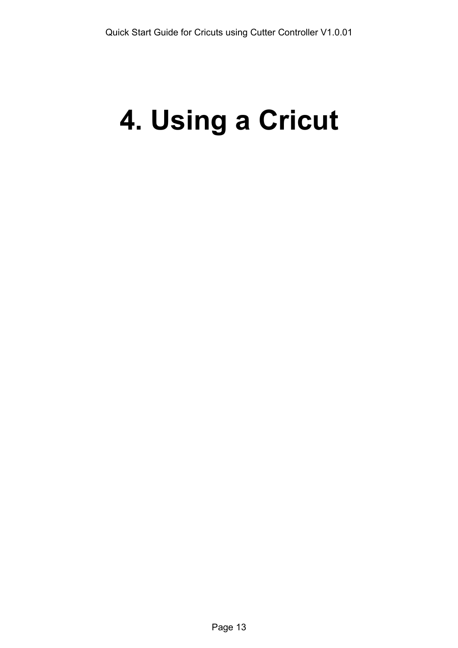# <span id="page-12-0"></span>**4. Using a Cricut**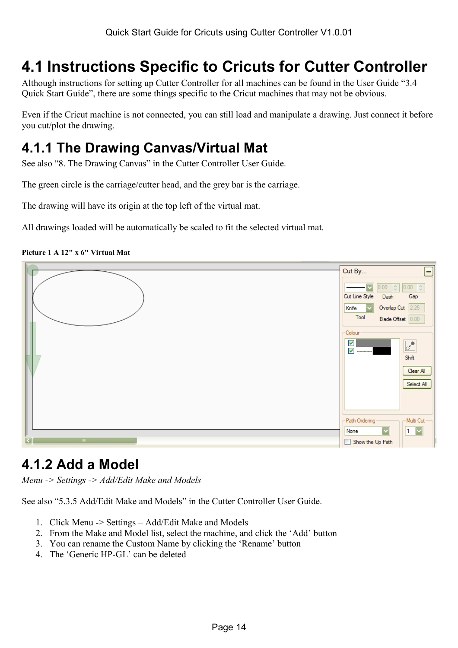# <span id="page-13-0"></span>**4.1 Instructions Specific to Cricuts for Cutter Controller**

Although instructions for setting up Cutter Controller for all machines can be found in the User Guide "3.4 Quick Start Guide", there are some things specific to the Cricut machines that may not be obvious.

Even if the Cricut machine is not connected, you can still load and manipulate a drawing. Just connect it before you cut/plot the drawing.

# **4.1.1 The Drawing Canvas/Virtual Mat**

See also "8. The Drawing Canvas" in the Cutter Controller User Guide.

The green circle is the carriage/cutter head, and the grey bar is the carriage.

The drawing will have its origin at the top left of the virtual mat.

All drawings loaded will be automatically be scaled to fit the selected virtual mat.

**Picture 1 A 12" x 6" Virtual Mat** 



## **4.1.2 Add a Model**

*Menu -> Settings -> Add/Edit Make and Models* 

See also "5.3.5 Add/Edit Make and Models" in the Cutter Controller User Guide.

- 1. Click Menu -> Settings Add/Edit Make and Models
- 2. From the Make and Model list, select the machine, and click the 'Add' button
- 3. You can rename the Custom Name by clicking the 'Rename' button
- 4. The 'Generic HP-GL' can be deleted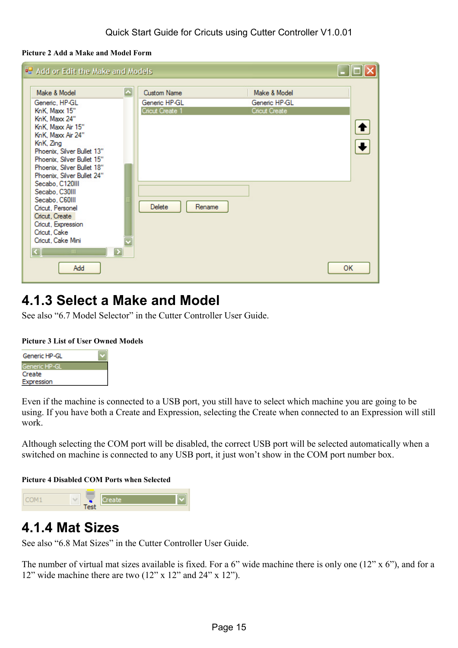#### <span id="page-14-0"></span>**Picture 2 Add a Make and Model Form**

| <sup>o</sup> . Add or Edit the Make and Models                                                                                                                                                                                                                                                                                                                                                                                           |                                              |                                                                  |        |                                                |    |
|------------------------------------------------------------------------------------------------------------------------------------------------------------------------------------------------------------------------------------------------------------------------------------------------------------------------------------------------------------------------------------------------------------------------------------------|----------------------------------------------|------------------------------------------------------------------|--------|------------------------------------------------|----|
| Make & Model<br>Generic, HP-GL<br>KnK, Maxx 15"<br>KnK, Maxx 24"<br>KnK, Maxx Air 15"<br>KnK, Maxx Air 24"<br>KnK, Zing<br>Phoenix, Silver Bullet 13"<br>Phoenix, Silver Bullet 15"<br>Phoenix, Silver Bullet 18"<br>Phoenix, Silver Bullet 24"<br>Secabo, C120III<br>Secabo, C30III<br>Secabo, C60III<br>Cricut, Personel<br>Cricut, Create<br>Cricut, Expression<br>Cricut, Cake<br>Cricut, Cake Mini<br>$\mathbb{H}\mathbb{H}$<br>Add | $\blacktriangle$<br>$\overline{\phantom{a}}$ | <b>Custom Name</b><br>Generic HP-GL<br>Cricut Create 1<br>Delete | Rename | Make & Model<br>Generic HP-GL<br>Cricut Create | OK |
|                                                                                                                                                                                                                                                                                                                                                                                                                                          |                                              |                                                                  |        |                                                |    |

# **4.1.3 Select a Make and Model**

See also "6.7 Model Selector" in the Cutter Controller User Guide.

#### **Picture 3 List of User Owned Models**



Even if the machine is connected to a USB port, you still have to select which machine you are going to be using. If you have both a Create and Expression, selecting the Create when connected to an Expression will still work.

Although selecting the COM port will be disabled, the correct USB port will be selected automatically when a switched on machine is connected to any USB port, it just won't show in the COM port number box.

#### **Picture 4 Disabled COM Ports when Selected**



### **4.1.4 Mat Sizes**

See also "6.8 Mat Sizes" in the Cutter Controller User Guide.

The number of virtual mat sizes available is fixed. For a 6" wide machine there is only one (12" x 6"), and for a 12" wide machine there are two (12" x 12" and 24" x 12").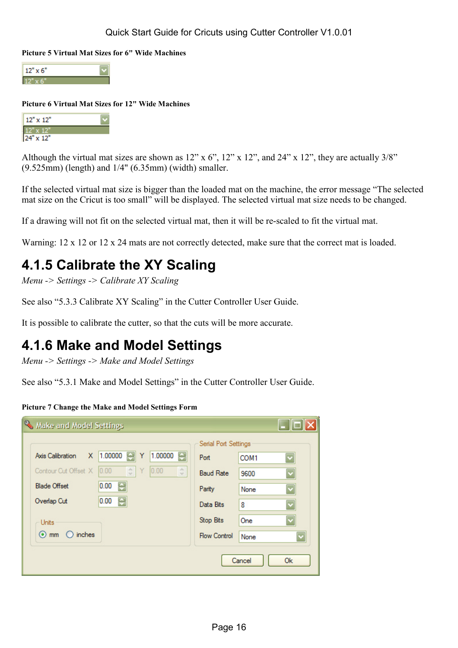<span id="page-15-0"></span>**Picture 5 Virtual Mat Sizes for 6" Wide Machines** 



#### **Picture 6 Virtual Mat Sizes for 12" Wide Machines**

| 12" x 12"                      |  |
|--------------------------------|--|
|                                |  |
| $24^{\circ} \times 12^{\circ}$ |  |

Although the virtual mat sizes are shown as  $12$ " x  $6$ ",  $12$ " x  $12$ ", and  $24$ " x  $12$ ", they are actually  $3/8$ " (9.525mm) (length) and 1/4" (6.35mm) (width) smaller.

If the selected virtual mat size is bigger than the loaded mat on the machine, the error message "The selected mat size on the Cricut is too small" will be displayed. The selected virtual mat size needs to be changed.

If a drawing will not fit on the selected virtual mat, then it will be re-scaled to fit the virtual mat.

Warning: 12 x 12 or 12 x 24 mats are not correctly detected, make sure that the correct mat is loaded.

# **4.1.5 Calibrate the XY Scaling**

*Menu -> Settings -> Calibrate XY Scaling* 

See also "5.3.3 Calibrate XY Scaling" in the Cutter Controller User Guide.

It is possible to calibrate the cutter, so that the cuts will be more accurate.

## **4.1.6 Make and Model Settings**

*Menu -> Settings -> Make and Model Settings* 

See also "5.3.1 Make and Model Settings" in the Cutter Controller User Guide.

#### **Picture 7 Change the Make and Model Settings Form**

|                           |                                    |                              | Serial Port Settings |        |                         |
|---------------------------|------------------------------------|------------------------------|----------------------|--------|-------------------------|
| X<br>Axis Calibration     | 1.00000<br>Y<br>÷                  | 쥐<br>1.00000                 | Port                 | COM1   |                         |
| Contour Cut Offset X      | $\frac{\lambda}{\nu}$<br>0.00<br>Y | 0.00<br>$\stackrel{>}{\sim}$ | <b>Baud Rate</b>     | 9600   | $\ddot{\phantom{0}}$    |
| <b>Blade Offset</b>       | 0.00<br>÷                          |                              | Parity               | None   |                         |
| Overlap Cut               | 0.00<br>÷                          |                              | Data Bits            | 8      |                         |
| <b>Units</b>              |                                    |                              | <b>Stop Bits</b>     | One    |                         |
| $\odot$ mm $\odot$ inches |                                    |                              | <b>Flow Control</b>  | None   | $\overline{\mathbf{v}}$ |
|                           |                                    |                              |                      | Cancel | 0k                      |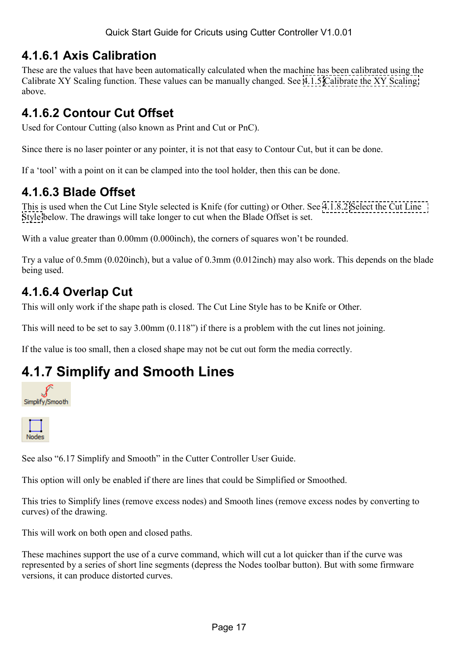### <span id="page-16-0"></span>**4.1.6.1 Axis Calibration**

These are the values that have been automatically calculated when the machine has been calibrated using the Calibrate XY Scaling function. These values can be manually changed. See [4.1.5 Calibrate the XY Scaling](#page-15-0)  above.

### **4.1.6.2 Contour Cut Offset**

Used for Contour Cutting (also known as Print and Cut or PnC).

Since there is no laser pointer or any pointer, it is not that easy to Contour Cut, but it can be done.

If a 'tool' with a point on it can be clamped into the tool holder, then this can be done.

### **4.1.6.3 Blade Offset**

This is used when the Cut Line Style selected is Knife (for cutting) or Other. See [4.1.8.2 Select the Cut Line](#page-17-0)  [Style](#page-17-0) below. The drawings will take longer to cut when the Blade Offset is set.

With a value greater than 0.00mm (0.000inch), the corners of squares won't be rounded.

Try a value of 0.5mm (0.020inch), but a value of 0.3mm (0.012inch) may also work. This depends on the blade being used.

### **4.1.6.4 Overlap Cut**

This will only work if the shape path is closed. The Cut Line Style has to be Knife or Other.

This will need to be set to say 3.00mm (0.118") if there is a problem with the cut lines not joining.

If the value is too small, then a closed shape may not be cut out form the media correctly.

# **4.1.7 Simplify and Smooth Lines**





See also "6.17 Simplify and Smooth" in the Cutter Controller User Guide.

This option will only be enabled if there are lines that could be Simplified or Smoothed.

This tries to Simplify lines (remove excess nodes) and Smooth lines (remove excess nodes by converting to curves) of the drawing.

This will work on both open and closed paths.

These machines support the use of a curve command, which will cut a lot quicker than if the curve was represented by a series of short line segments (depress the Nodes toolbar button). But with some firmware versions, it can produce distorted curves.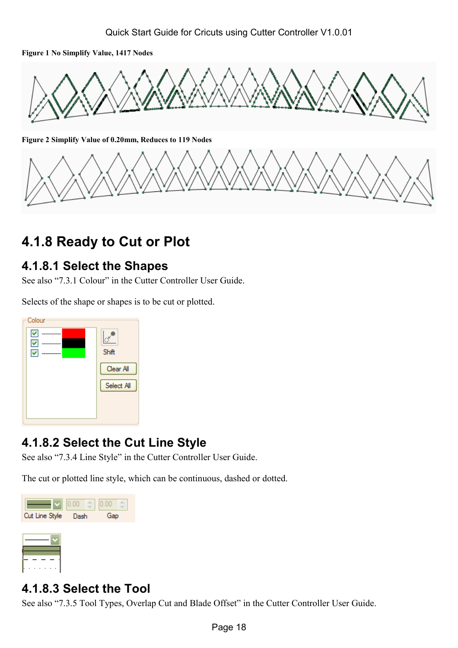<span id="page-17-0"></span>**Figure 1 No Simplify Value, 1417 Nodes** 



**Figure 2 Simplify Value of 0.20mm, Reduces to 119 Nodes** 



# **4.1.8 Ready to Cut or Plot**

### **4.1.8.1 Select the Shapes**

See also "7.3.1 Colour" in the Cutter Controller User Guide.

Selects of the shape or shapes is to be cut or plotted.



## **4.1.8.2 Select the Cut Line Style**

See also "7.3.4 Line Style" in the Cutter Controller User Guide.

The cut or plotted line style, which can be continuous, dashed or dotted.



### **4.1.8.3 Select the Tool**

See also "7.3.5 Tool Types, Overlap Cut and Blade Offset" in the Cutter Controller User Guide.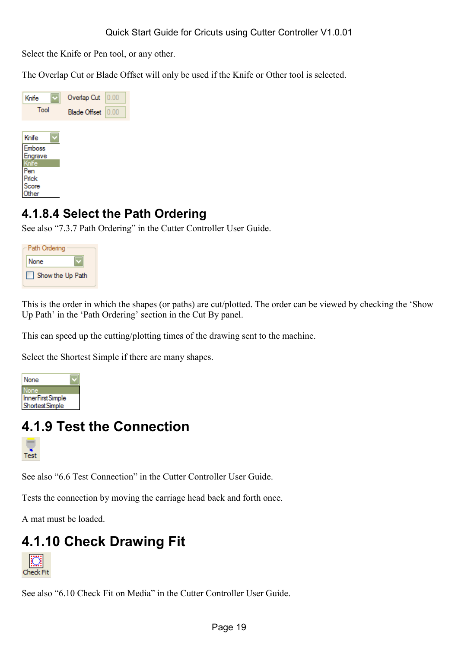<span id="page-18-0"></span>Select the Knife or Pen tool, or any other.

The Overlap Cut or Blade Offset will only be used if the Knife or Other tool is selected.

| Knife<br>Tool | Overlap Cut  | 0.00 |
|---------------|--------------|------|
|               | Blade Offset | 0.00 |
|               |              |      |
| Knife         |              |      |
| Emboss        |              |      |
| Engrave       |              |      |
| <b>i</b> nife |              |      |
| Pen           |              |      |
| Prick         |              |      |
| Score         |              |      |
| <b>Ther</b>   |              |      |

### **4.1.8.4 Select the Path Ordering**

See also "7.3.7 Path Ordering" in the Cutter Controller User Guide.

| - Path Ordering  |  |
|------------------|--|
| None             |  |
| Show the Up Path |  |

This is the order in which the shapes (or paths) are cut/plotted. The order can be viewed by checking the 'Show Up Path' in the 'Path Ordering' section in the Cut By panel.

This can speed up the cutting/plotting times of the drawing sent to the machine.

Select the Shortest Simple if there are many shapes.



# **4.1.9 Test the Connection**



See also "6.6 Test Connection" in the Cutter Controller User Guide.

Tests the connection by moving the carriage head back and forth once.

A mat must be loaded.

# **4.1.10 Check Drawing Fit**



See also "6.10 Check Fit on Media" in the Cutter Controller User Guide.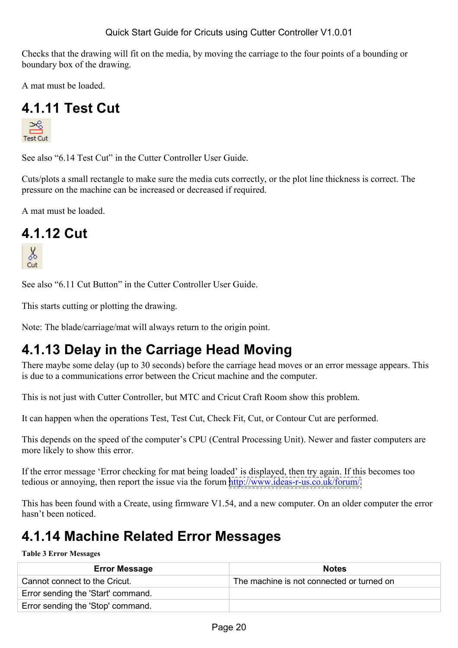<span id="page-19-0"></span>Checks that the drawing will fit on the media, by moving the carriage to the four points of a bounding or boundary box of the drawing.

A mat must be loaded.

# **4.1.11 Test Cut**



See also "6.14 Test Cut" in the Cutter Controller User Guide.

Cuts/plots a small rectangle to make sure the media cuts correctly, or the plot line thickness is correct. The pressure on the machine can be increased or decreased if required.

A mat must be loaded.

### **4.1.12 Cut**



See also "6.11 Cut Button" in the Cutter Controller User Guide.

This starts cutting or plotting the drawing.

Note: The blade/carriage/mat will always return to the origin point.

# **4.1.13 Delay in the Carriage Head Moving**

There maybe some delay (up to 30 seconds) before the carriage head moves or an error message appears. This is due to a communications error between the Cricut machine and the computer.

This is not just with Cutter Controller, but MTC and Cricut Craft Room show this problem.

It can happen when the operations Test, Test Cut, Check Fit, Cut, or Contour Cut are performed.

This depends on the speed of the computer's CPU (Central Processing Unit). Newer and faster computers are more likely to show this error.

If the error message 'Error checking for mat being loaded' is displayed, then try again. If this becomes too tedious or annoying, then report the issue via the forum [http://www.ideas-r-us.co.uk/forum/.](http://www.ideas-r-us.co.uk/forum/)

This has been found with a Create, using firmware V1.54, and a new computer. On an older computer the error hasn't been noticed.

## **4.1.14 Machine Related Error Messages**

#### **Table 3 Error Messages**

| <b>Error Message</b>               | <b>Notes</b>                              |
|------------------------------------|-------------------------------------------|
| Cannot connect to the Cricut.      | The machine is not connected or turned on |
| Error sending the 'Start' command. |                                           |
| Error sending the 'Stop' command.  |                                           |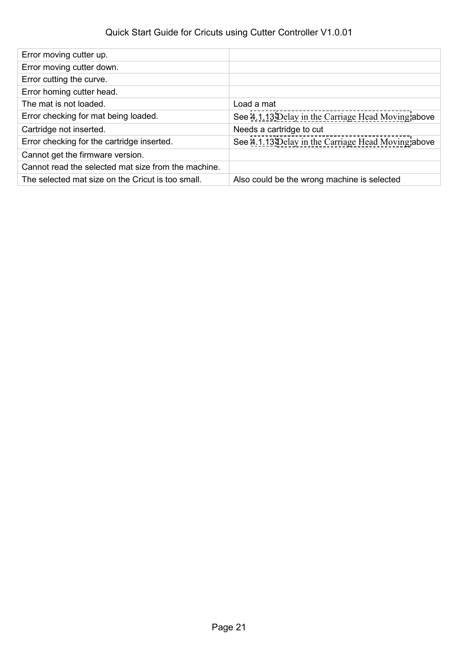### Quick Start Guide for Cricuts using Cutter Controller V1.0.01

| Error moving cutter up.                             |                                                    |
|-----------------------------------------------------|----------------------------------------------------|
| Error moving cutter down.                           |                                                    |
| Error cutting the curve.                            |                                                    |
| Error homing cutter head.                           |                                                    |
| The mat is not loaded.                              | Load a mat                                         |
| Error checking for mat being loaded.                | See 4.1.13 Delay in the Carriage Head Moving above |
| Cartridge not inserted.                             | Needs a cartridge to cut                           |
| Error checking for the cartridge inserted.          | See 4.1.13 Delay in the Carriage Head Moving above |
| Cannot get the firmware version.                    |                                                    |
| Cannot read the selected mat size from the machine. |                                                    |
| The selected mat size on the Cricut is too small.   | Also could be the wrong machine is selected        |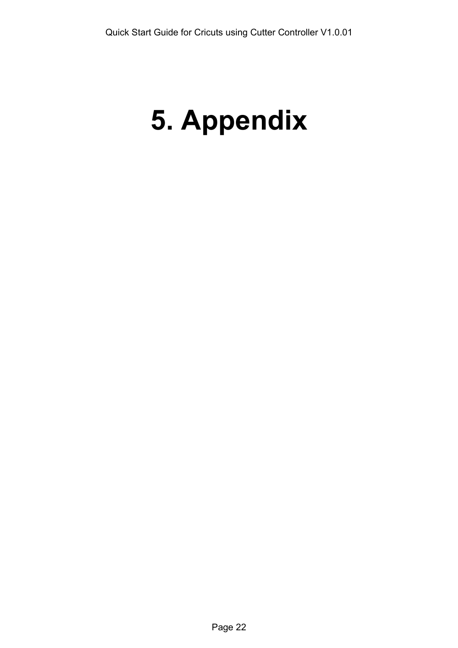# <span id="page-21-0"></span>**5. Appendix**